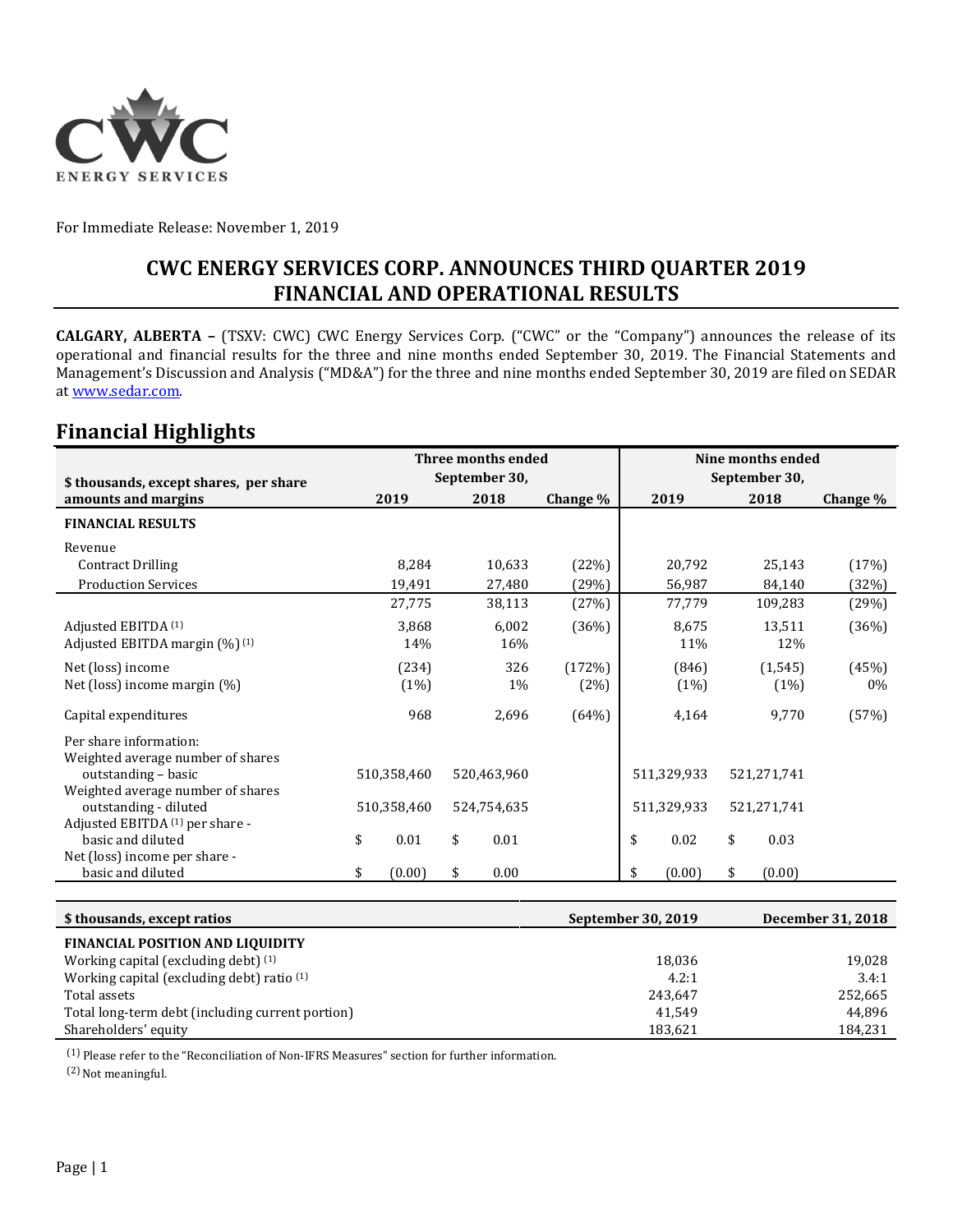

For Immediate Release: November 1, 2019

### **CWC ENERGY SERVICES CORP. ANNOUNCES THIRD QUARTER 2019 FINANCIAL AND OPERATIONAL RESULTS**

**CALGARY, ALBERTA –** (TSXV: CWC) CWC Energy Services Corp. ("CWC" or the "Company") announces the release of its operational and financial results for the three and nine months ended September 30, 2019. The Financial Statements and Management's Discussion and Analysis ("MD&A") for the three and nine months ended September 30, 2019 are filed on SEDAR at www.sedar.com.

### **Financial Highlights**

|                                                            | Three months ended |        |    |             | Nine months ended |    |             |    |             |          |
|------------------------------------------------------------|--------------------|--------|----|-------------|-------------------|----|-------------|----|-------------|----------|
| \$ thousands, except shares, per share                     | September 30,      |        |    |             | September 30,     |    |             |    |             |          |
| amounts and margins                                        | 2019               |        |    | 2018        | Change %          |    | 2019        |    | 2018        | Change % |
| <b>FINANCIAL RESULTS</b>                                   |                    |        |    |             |                   |    |             |    |             |          |
| Revenue                                                    |                    |        |    |             |                   |    |             |    |             |          |
| <b>Contract Drilling</b>                                   |                    | 8,284  |    | 10,633      | (22%)             |    | 20,792      |    | 25,143      | (17%)    |
| <b>Production Services</b>                                 |                    | 19,491 |    | 27,480      | (29%)             |    | 56,987      |    | 84,140      | (32%)    |
|                                                            |                    | 27,775 |    | 38,113      | (27%)             |    | 77,779      |    | 109,283     | (29%)    |
| Adjusted EBITDA (1)                                        |                    | 3,868  |    | 6,002       | (36%)             |    | 8,675       |    | 13,511      | (36%)    |
| Adjusted EBITDA margin (%) (1)                             |                    | 14%    |    | 16%         |                   |    | 11%         |    | 12%         |          |
| Net (loss) income                                          |                    | (234)  |    | 326         | (172%)            |    | (846)       |    | (1, 545)    | (45%)    |
| Net (loss) income margin $(\%)$                            |                    | (1%)   |    | 1%          | (2%)              |    | (1%)        |    | (1%)        | $0\%$    |
| Capital expenditures                                       |                    | 968    |    | 2,696       | (64%)             |    | 4,164       |    | 9,770       | (57%)    |
| Per share information:                                     |                    |        |    |             |                   |    |             |    |             |          |
| Weighted average number of shares                          |                    |        |    |             |                   |    |             |    |             |          |
| outstanding - basic                                        | 510,358,460        |        |    | 520,463,960 |                   |    | 511,329,933 |    | 521,271,741 |          |
| Weighted average number of shares<br>outstanding - diluted | 510,358,460        |        |    | 524,754,635 |                   |    | 511,329,933 |    | 521,271,741 |          |
| Adjusted EBITDA (1) per share -                            |                    |        |    |             |                   |    |             |    |             |          |
| basic and diluted                                          | \$                 | 0.01   | \$ | 0.01        |                   | \$ | 0.02        | \$ | 0.03        |          |
| Net (loss) income per share -                              |                    |        |    |             |                   |    |             |    |             |          |
| basic and diluted                                          | \$                 | (0.00) | \$ | 0.00        |                   | \$ | (0.00)      | \$ | (0.00)      |          |

| \$ thousands, except ratios                      | September 30, 2019 | December 31, 2018 |
|--------------------------------------------------|--------------------|-------------------|
| <b>FINANCIAL POSITION AND LIQUIDITY</b>          |                    |                   |
| Working capital (excluding debt) (1)             | 18.036             | 19,028            |
| Working capital (excluding debt) ratio (1)       | 4.2:1              | 3.4:1             |
| Total assets                                     | 243,647            | 252,665           |
| Total long-term debt (including current portion) | 41.549             | 44.896            |
| Shareholders' equity                             | 183,621            | 184,231           |

(1) Please refer to the "Reconciliation of Non-IFRS Measures" section for further information.

(2) Not meaningful.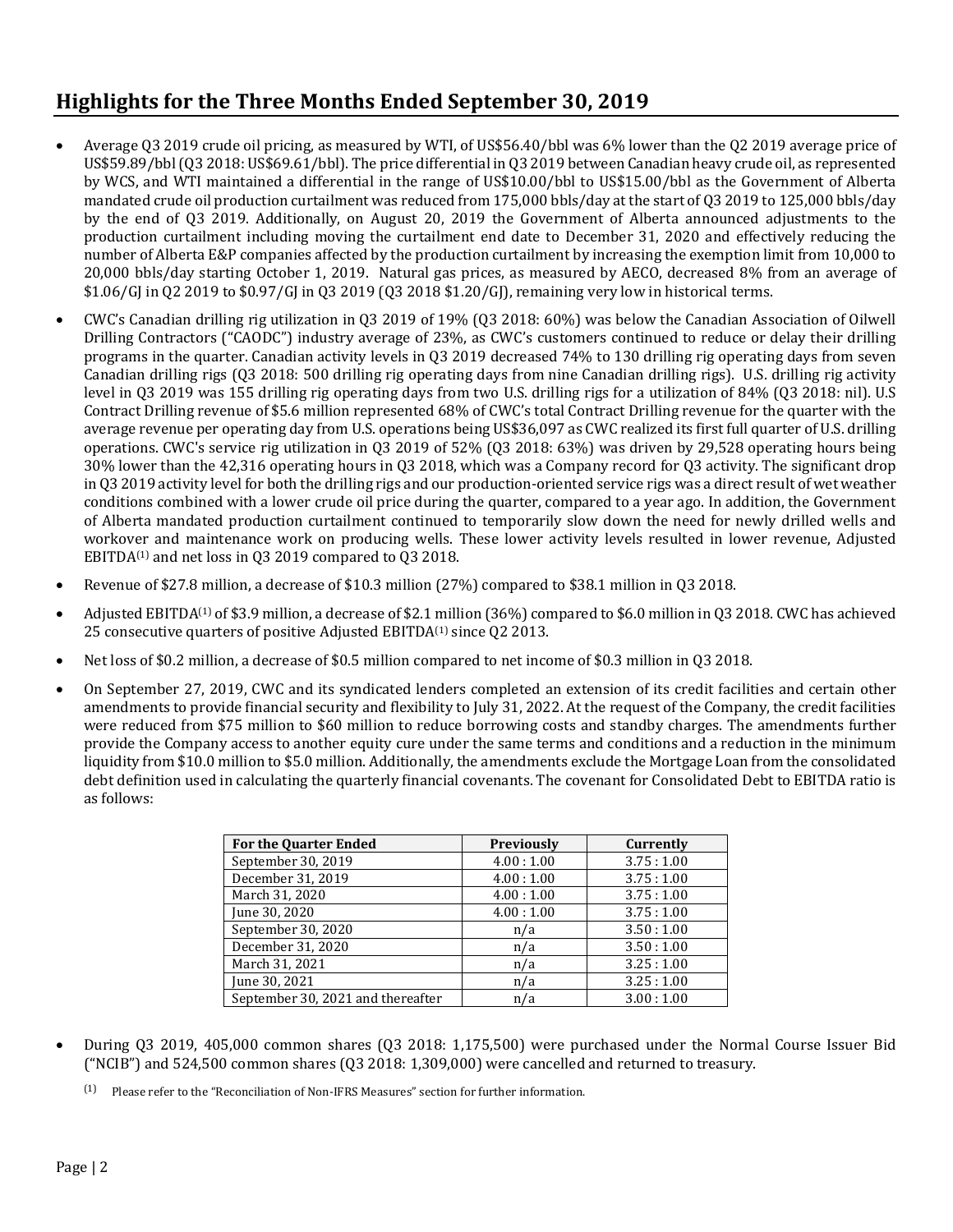# **Highlights for the Three Months Ended September 30, 2019**

- Average Q3 2019 crude oil pricing, as measured by WTI, of US\$56.40/bbl was 6% lower than the Q2 2019 average price of US\$59.89/bbl (Q3 2018: US\$69.61/bbl). The price differential in Q3 2019 between Canadian heavy crude oil, as represented by WCS, and WTI maintained a differential in the range of US\$10.00/bbl to US\$15.00/bbl as the Government of Alberta mandated crude oil production curtailment was reduced from 175,000 bbls/day at the start of Q3 2019 to 125,000 bbls/day by the end of Q3 2019. Additionally, on August 20, 2019 the Government of Alberta announced adjustments to the production curtailment including moving the curtailment end date to December 31, 2020 and effectively reducing the number of Alberta E&P companies affected by the production curtailment by increasing the exemption limit from 10,000 to 20,000 bbls/day starting October 1, 2019. Natural gas prices, as measured by AECO, decreased 8% from an average of \$1.06/GJ in Q2 2019 to \$0.97/GJ in Q3 2019 (Q3 2018 \$1.20/GJ), remaining very low in historical terms.
- CWC's Canadian drilling rig utilization in Q3 2019 of 19% (Q3 2018: 60%) was below the Canadian Association of Oilwell Drilling Contractors ("CAODC") industry average of 23%, as CWC's customers continued to reduce or delay their drilling programs in the quarter. Canadian activity levels in Q3 2019 decreased 74% to 130 drilling rig operating days from seven Canadian drilling rigs (Q3 2018: 500 drilling rig operating days from nine Canadian drilling rigs). U.S. drilling rig activity level in Q3 2019 was 155 drilling rig operating days from two U.S. drilling rigs for a utilization of 84% (Q3 2018: nil). U.S Contract Drilling revenue of \$5.6 million represented 68% of CWC's total Contract Drilling revenue for the quarter with the average revenue per operating day from U.S. operations being US\$36,097 as CWC realized its first full quarter of U.S. drilling operations. CWC's service rig utilization in Q3 2019 of 52% (Q3 2018: 63%) was driven by 29,528 operating hours being 30% lower than the 42,316 operating hours in Q3 2018, which was a Company record for Q3 activity. The significant drop in Q3 2019 activity level for both the drilling rigs and our production-oriented service rigs was a direct result of wet weather conditions combined with a lower crude oil price during the quarter, compared to a year ago. In addition, the Government of Alberta mandated production curtailment continued to temporarily slow down the need for newly drilled wells and workover and maintenance work on producing wells. These lower activity levels resulted in lower revenue, Adjusted EBITDA<sup>(1)</sup> and net loss in Q3 2019 compared to Q3 2018.
- Revenue of \$27.8 million, a decrease of \$10.3 million (27%) compared to \$38.1 million in Q3 2018.
- Adjusted EBITDA(1) of \$3.9 million, a decrease of \$2.1 million (36%) compared to \$6.0 million in Q3 2018. CWC has achieved 25 consecutive quarters of positive Adjusted EBITDA(1) since Q2 2013.
- Net loss of \$0.2 million, a decrease of \$0.5 million compared to net income of \$0.3 million in Q3 2018.
- On September 27, 2019, CWC and its syndicated lenders completed an extension of its credit facilities and certain other amendments to provide financial security and flexibility to July 31, 2022. At the request of the Company, the credit facilities were reduced from \$75 million to \$60 million to reduce borrowing costs and standby charges. The amendments further provide the Company access to another equity cure under the same terms and conditions and a reduction in the minimum liquidity from \$10.0 million to \$5.0 million. Additionally, the amendments exclude the Mortgage Loan from the consolidated debt definition used in calculating the quarterly financial covenants. The covenant for Consolidated Debt to EBITDA ratio is as follows:

| <b>For the Quarter Ended</b>      | <b>Previously</b> | Currently |
|-----------------------------------|-------------------|-----------|
| September 30, 2019                | 4.00:1.00         | 3.75:1.00 |
| December 31, 2019                 | 4.00:1.00         | 3.75:1.00 |
| March 31, 2020                    | 4.00:1.00         | 3.75:1.00 |
| June 30, 2020                     | 4.00:1.00         | 3.75:1.00 |
| September 30, 2020                | n/a               | 3.50:1.00 |
| December 31, 2020                 | n/a               | 3.50:1.00 |
| March 31, 2021                    | n/a               | 3.25:1.00 |
| June 30, 2021                     | n/a               | 3.25:1.00 |
| September 30, 2021 and thereafter | n/a               | 3.00:1.00 |

- During Q3 2019, 405,000 common shares (Q3 2018: 1,175,500) were purchased under the Normal Course Issuer Bid ("NCIB") and 524,500 common shares (Q3 2018: 1,309,000) were cancelled and returned to treasury.
	- (1) Please refer to the "Reconciliation of Non-IFRS Measures" section for further information.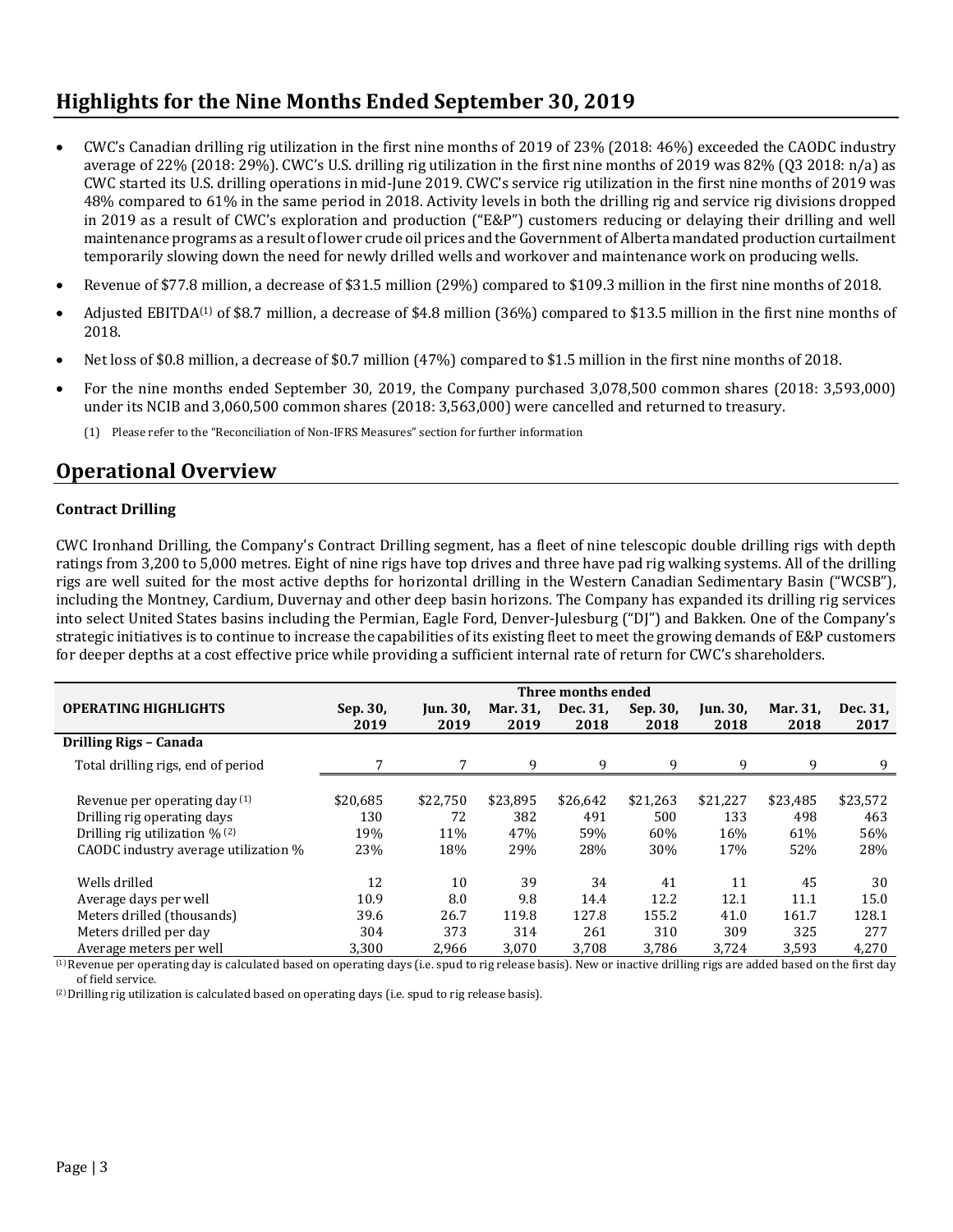# **Highlights for the Nine Months Ended September 30, 2019**

- CWC's Canadian drilling rig utilization in the first nine months of 2019 of 23% (2018: 46%) exceeded the CAODC industry average of 22% (2018: 29%). CWC's U.S. drilling rig utilization in the first nine months of 2019 was 82% (Q3 2018: n/a) as CWC started its U.S. drilling operations in mid-June 2019. CWC's service rig utilization in the first nine months of 2019 was 48% compared to 61% in the same period in 2018. Activity levels in both the drilling rig and service rig divisions dropped in 2019 as a result of CWC's exploration and production ("E&P") customers reducing or delaying their drilling and well maintenance programs as a result of lower crude oil prices and the Government of Alberta mandated production curtailment temporarily slowing down the need for newly drilled wells and workover and maintenance work on producing wells.
- Revenue of \$77.8 million, a decrease of \$31.5 million (29%) compared to \$109.3 million in the first nine months of 2018.
- Adjusted EBITDA<sup>(1)</sup> of \$8.7 million, a decrease of \$4.8 million (36%) compared to \$13.5 million in the first nine months of 2018.
- Net loss of \$0.8 million, a decrease of \$0.7 million (47%) compared to \$1.5 million in the first nine months of 2018.
- For the nine months ended September 30, 2019, the Company purchased 3,078,500 common shares (2018: 3,593,000) under its NCIB and 3,060,500 common shares (2018: 3,563,000) were cancelled and returned to treasury.
	- (1) Please refer to the "Reconciliation of Non-IFRS Measures" section for further information

### **Operational Overview**

#### **Contract Drilling**

CWC Ironhand Drilling, the Company's Contract Drilling segment, has a fleet of nine telescopic double drilling rigs with depth ratings from 3,200 to 5,000 metres. Eight of nine rigs have top drives and three have pad rig walking systems. All of the drilling rigs are well suited for the most active depths for horizontal drilling in the Western Canadian Sedimentary Basin ("WCSB"), including the Montney, Cardium, Duvernay and other deep basin horizons. The Company has expanded its drilling rig services into select United States basins including the Permian, Eagle Ford, Denver-Julesburg ("DJ") and Bakken. One of the Company's strategic initiatives is to continue to increase the capabilities of its existing fleet to meet the growing demands of E&P customers for deeper depths at a cost effective price while providing a sufficient internal rate of return for CWC's shareholders.

|                                            | Three months ended |                         |                  |                  |                  |                         |                  |                  |  |
|--------------------------------------------|--------------------|-------------------------|------------------|------------------|------------------|-------------------------|------------------|------------------|--|
| <b>OPERATING HIGHLIGHTS</b>                | Sep. 30,<br>2019   | <b>Jun. 30,</b><br>2019 | Mar. 31,<br>2019 | Dec. 31,<br>2018 | Sep. 30,<br>2018 | <b>Jun. 30,</b><br>2018 | Mar. 31.<br>2018 | Dec. 31,<br>2017 |  |
| Drilling Rigs - Canada                     |                    |                         |                  |                  |                  |                         |                  |                  |  |
| Total drilling rigs, end of period         | 7                  | 7                       | 9                | 9                | 9                | 9                       | 9                | 9                |  |
|                                            |                    |                         |                  |                  |                  |                         |                  |                  |  |
| Revenue per operating day (1)              | \$20,685           | \$22,750                | \$23,895         | \$26,642         | \$21,263         | \$21,227                | \$23,485         | \$23,572         |  |
| Drilling rig operating days                | 130                | 72                      | 382              | 491              | 500              | 133                     | 498              | 463              |  |
| Drilling rig utilization $\frac{9}{6}$ (2) | 19%                | 11%                     | 47%              | 59%              | 60%              | 16%                     | 61%              | 56%              |  |
| CAODC industry average utilization %       | 23%                | 18%                     | 29%              | 28%              | 30%              | 17%                     | 52%              | 28%              |  |
| Wells drilled                              | 12                 | 10                      | 39               | 34               | 41               | 11                      | 45               | 30               |  |
| Average days per well                      | 10.9               | 8.0                     | 9.8              | 14.4             | 12.2             | 12.1                    | 11.1             | 15.0             |  |
| Meters drilled (thousands)                 | 39.6               | 26.7                    | 119.8            | 127.8            | 155.2            | 41.0                    | 161.7            | 128.1            |  |
| Meters drilled per day                     | 304                | 373                     | 314              | 261              | 310              | 309                     | 325              | 277              |  |
| Average meters per well                    | 3,300              | 2,966                   | 3,070            | 3,708            | 3,786            | 3,724                   | 3,593            | 4,270            |  |

(1) Revenue per operating day is calculated based on operating days (i.e. spud to rig release basis). New or inactive drilling rigs are added based on the first day of field service.

(2) Drilling rig utilization is calculated based on operating days (i.e. spud to rig release basis).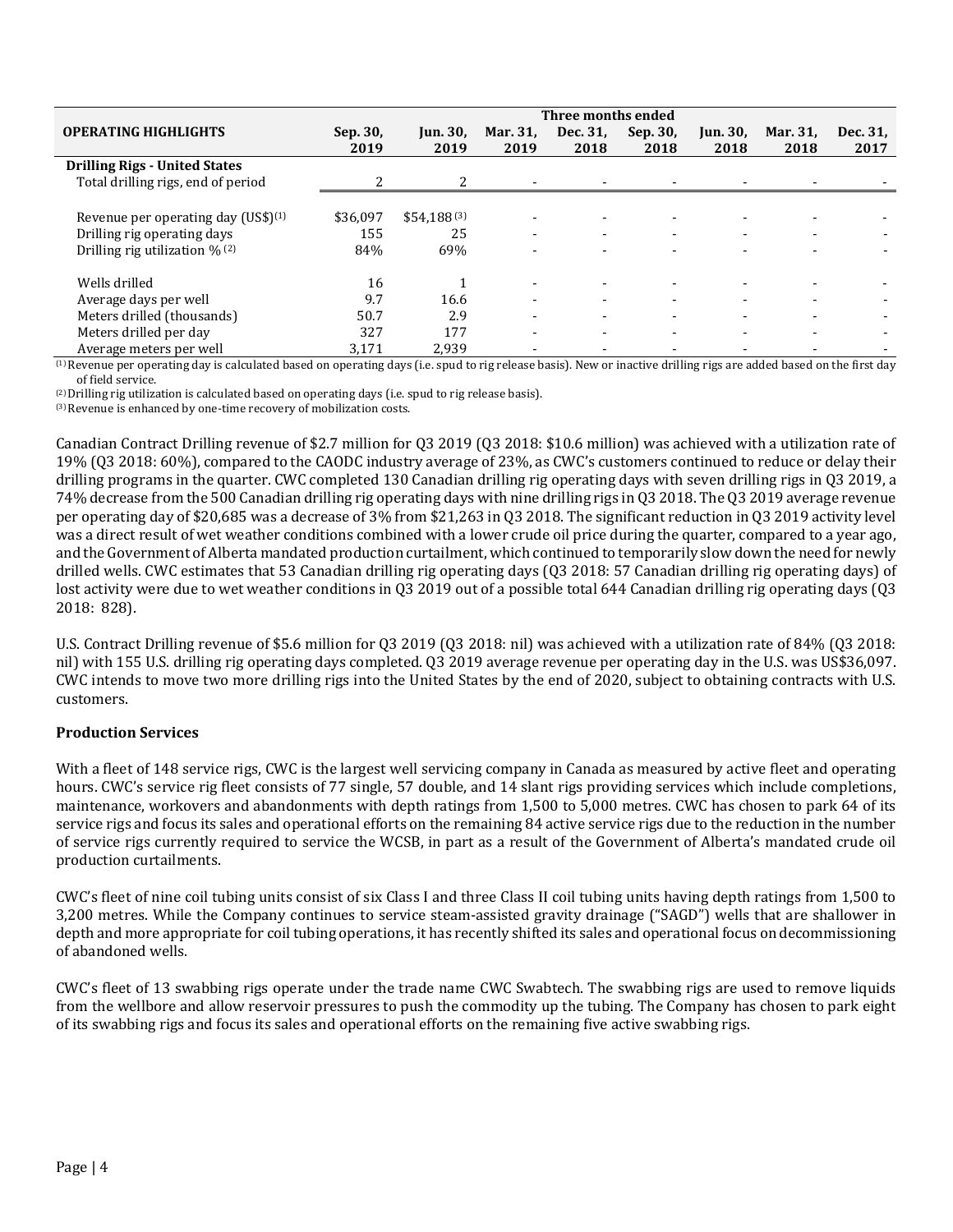|                                                 | Three months ended |                         |                          |                  |                          |                          |                          |                  |
|-------------------------------------------------|--------------------|-------------------------|--------------------------|------------------|--------------------------|--------------------------|--------------------------|------------------|
| <b>OPERATING HIGHLIGHTS</b>                     | Sep. 30,<br>2019   | <b>Jun. 30,</b><br>2019 | Mar. 31.<br>2019         | Dec. 31,<br>2018 | Sep. 30,<br>2018         | Jun. 30,<br>2018         | Mar. 31.<br>2018         | Dec. 31,<br>2017 |
| <b>Drilling Rigs - United States</b>            |                    |                         |                          |                  |                          |                          |                          |                  |
| Total drilling rigs, end of period              |                    |                         |                          |                  |                          |                          |                          |                  |
|                                                 |                    |                         |                          |                  |                          |                          |                          |                  |
| Revenue per operating day (US\$) <sup>(1)</sup> | \$36.097           | $$54,188^{(3)}$         |                          |                  |                          |                          |                          |                  |
| Drilling rig operating days                     | 155                | 25                      | $\overline{\phantom{a}}$ |                  | $\overline{\phantom{a}}$ | $\blacksquare$           | $\blacksquare$           |                  |
| Drilling rig utilization % (2)                  | 84%                | 69%                     |                          |                  |                          |                          |                          |                  |
| Wells drilled                                   | 16                 |                         | $\overline{\phantom{0}}$ |                  |                          |                          | $\blacksquare$           |                  |
| Average days per well                           | 9.7                | 16.6                    | $\overline{\phantom{0}}$ |                  |                          |                          | $\sim$                   |                  |
| Meters drilled (thousands)                      | 50.7               | 2.9                     | $\overline{\phantom{0}}$ |                  |                          | $\overline{\phantom{0}}$ | $\overline{\phantom{0}}$ |                  |
| Meters drilled per day                          | 327                | 177                     | $\overline{\phantom{0}}$ |                  |                          |                          |                          |                  |
| Average meters per well                         | 3,171              | 2,939                   |                          |                  |                          |                          |                          |                  |

(1) Revenue per operating day is calculated based on operating days (i.e. spud to rig release basis). New or inactive drilling rigs are added based on the first day of field service.

(2) Drilling rig utilization is calculated based on operating days (i.e. spud to rig release basis).

(3) Revenue is enhanced by one-time recovery of mobilization costs.

Canadian Contract Drilling revenue of \$2.7 million for Q3 2019 (Q3 2018: \$10.6 million) was achieved with a utilization rate of 19% (Q3 2018: 60%), compared to the CAODC industry average of 23%, as CWC's customers continued to reduce or delay their drilling programs in the quarter. CWC completed 130 Canadian drilling rig operating days with seven drilling rigs in Q3 2019, a 74% decrease from the 500 Canadian drilling rig operating days with nine drilling rigs in Q3 2018. The Q3 2019 average revenue per operating day of \$20,685 was a decrease of 3% from \$21,263 in Q3 2018. The significant reduction in Q3 2019 activity level was a direct result of wet weather conditions combined with a lower crude oil price during the quarter, compared to a year ago, and the Government of Alberta mandated production curtailment, which continued to temporarily slow down the need for newly drilled wells. CWC estimates that 53 Canadian drilling rig operating days (Q3 2018: 57 Canadian drilling rig operating days) of lost activity were due to wet weather conditions in Q3 2019 out of a possible total 644 Canadian drilling rig operating days (Q3 2018: 828).

U.S. Contract Drilling revenue of \$5.6 million for Q3 2019 (Q3 2018: nil) was achieved with a utilization rate of 84% (Q3 2018: nil) with 155 U.S. drilling rig operating days completed. Q3 2019 average revenue per operating day in the U.S. was US\$36,097. CWC intends to move two more drilling rigs into the United States by the end of 2020, subject to obtaining contracts with U.S. customers.

#### **Production Services**

With a fleet of 148 service rigs, CWC is the largest well servicing company in Canada as measured by active fleet and operating hours. CWC's service rig fleet consists of 77 single, 57 double, and 14 slant rigs providing services which include completions, maintenance, workovers and abandonments with depth ratings from 1,500 to 5,000 metres. CWC has chosen to park 64 of its service rigs and focus its sales and operational efforts on the remaining 84 active service rigs due to the reduction in the number of service rigs currently required to service the WCSB, in part as a result of the Government of Alberta's mandated crude oil production curtailments.

CWC's fleet of nine coil tubing units consist of six Class I and three Class II coil tubing units having depth ratings from 1,500 to 3,200 metres. While the Company continues to service steam-assisted gravity drainage ("SAGD") wells that are shallower in depth and more appropriate for coil tubing operations, it has recently shifted its sales and operational focus on decommissioning of abandoned wells.

CWC's fleet of 13 swabbing rigs operate under the trade name CWC Swabtech. The swabbing rigs are used to remove liquids from the wellbore and allow reservoir pressures to push the commodity up the tubing. The Company has chosen to park eight of its swabbing rigs and focus its sales and operational efforts on the remaining five active swabbing rigs.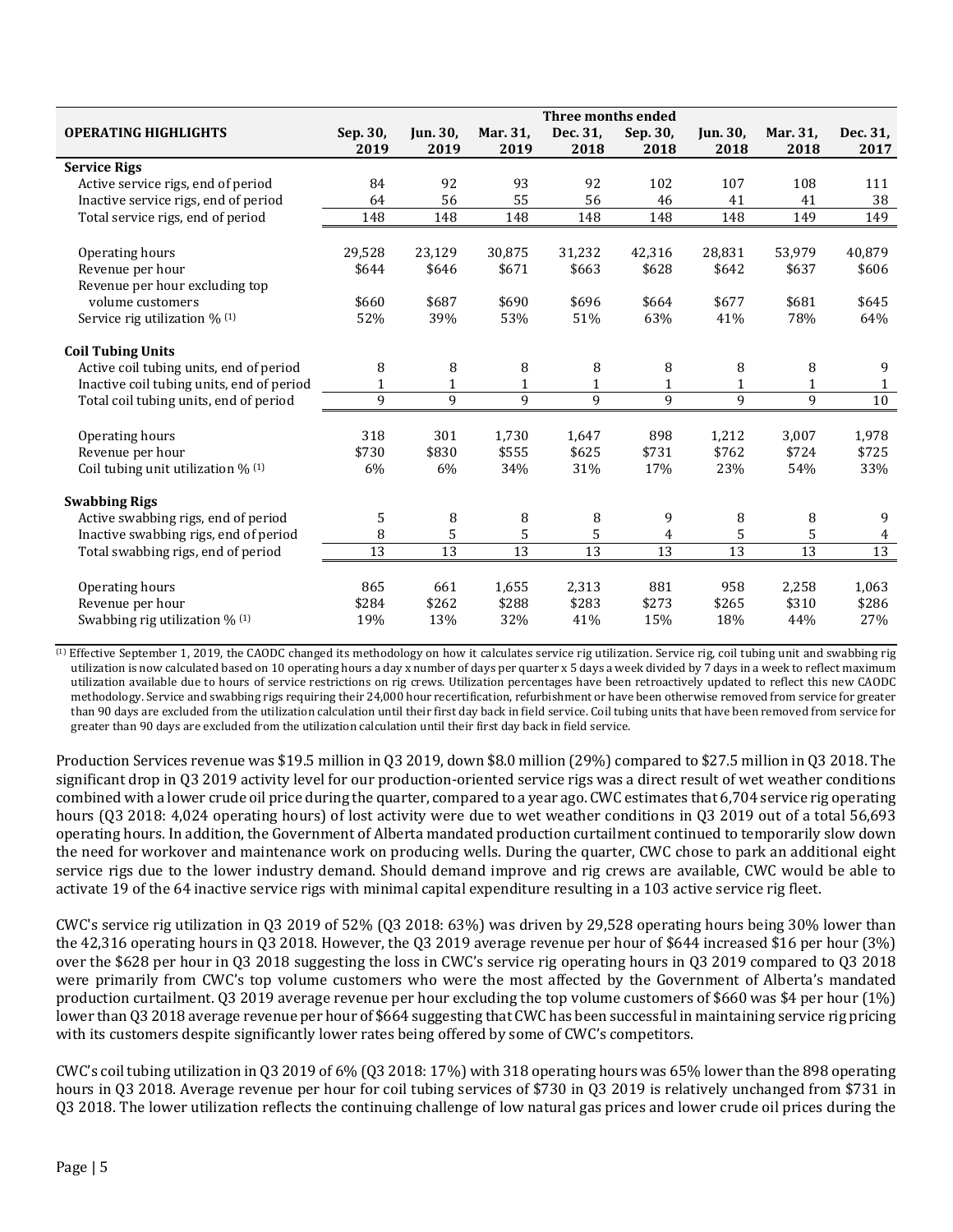|                                              | Three months ended |                 |                 |                 |                         |                 |                 |                 |
|----------------------------------------------|--------------------|-----------------|-----------------|-----------------|-------------------------|-----------------|-----------------|-----------------|
| <b>OPERATING HIGHLIGHTS</b>                  | Sep. 30,           | <b>Jun. 30,</b> | Mar. 31,        | Dec. 31,        | Sep. 30,                | <b>Jun. 30.</b> | Mar. 31,        | Dec. 31,        |
|                                              | 2019               | 2019            | 2019            | 2018            | 2018                    | 2018            | 2018            | 2017            |
| <b>Service Rigs</b>                          |                    |                 |                 |                 |                         |                 |                 |                 |
| Active service rigs, end of period           | 84                 | 92              | 93              | 92              | 102                     | 107             | 108             | 111             |
| Inactive service rigs, end of period         | 64                 | 56              | 55              | 56              | 46                      | 41              | 41              | 38              |
| Total service rigs, end of period            | 148                | 148             | 148             | 148             | 148                     | 148             | 149             | 149             |
|                                              |                    |                 |                 |                 |                         |                 |                 |                 |
| Operating hours                              | 29,528             | 23,129          | 30,875          | 31,232          | 42,316                  | 28,831          | 53,979          | 40,879          |
| Revenue per hour                             | \$644              | \$646           | \$671           | \$663           | \$628                   | \$642           | \$637           | \$606           |
| Revenue per hour excluding top               |                    |                 |                 |                 |                         |                 |                 |                 |
| volume customers                             | \$660              | \$687           | \$690           | \$696           | \$664                   | \$677           | \$681           | \$645           |
| Service rig utilization % (1)                | 52%                | 39%             | 53%             | 51%             | 63%                     | 41%             | 78%             | 64%             |
| <b>Coil Tubing Units</b>                     |                    |                 |                 |                 |                         |                 |                 |                 |
| Active coil tubing units, end of period      | 8                  | 8               | 8               | 8               | 8                       | 8               | 8               | 9               |
| Inactive coil tubing units, end of period    | 1                  | $\mathbf{1}$    | 1               | $\mathbf{1}$    | 1                       | $\mathbf{1}$    | 1               | 1               |
| Total coil tubing units, end of period       | 9                  | 9               | 9               | 9               | 9                       | 9               | 9               | $10\,$          |
|                                              |                    |                 |                 |                 |                         |                 |                 |                 |
| Operating hours                              | 318                | 301             | 1,730           | 1,647           | 898                     | 1,212           | 3,007           | 1,978           |
| Revenue per hour                             | \$730              | \$830           | \$555           | \$625           | \$731                   | \$762           | \$724           | \$725           |
| Coil tubing unit utilization % (1)           | 6%                 | 6%              | 34%             | 31%             | 17%                     | 23%             | 54%             | 33%             |
| <b>Swabbing Rigs</b>                         |                    |                 |                 |                 |                         |                 |                 |                 |
| Active swabbing rigs, end of period          | 5                  | 8               | 8               | 8               | 9                       | 8               | 8               | 9               |
| Inactive swabbing rigs, end of period        | 8                  | 5               | 5               | 5               | $\overline{\mathbf{4}}$ | 5               | 5               | 4               |
| Total swabbing rigs, end of period           | $\overline{13}$    | $\overline{13}$ | $\overline{13}$ | $\overline{13}$ | 13                      | $\overline{13}$ | $\overline{13}$ | $\overline{13}$ |
|                                              |                    |                 |                 |                 |                         |                 |                 |                 |
| Operating hours                              | 865                | 661             | 1,655           | 2,313           | 881                     | 958             | 2,258           | 1,063           |
| Revenue per hour                             | \$284              | \$262           | \$288           | \$283           | \$273                   | \$265           | \$310           | \$286           |
| Swabbing rig utilization $\%$ <sup>(1)</sup> | 19%                | 13%             | 32%             | 41%             | 15%                     | 18%             | 44%             | 27%             |

 (1) Effective September 1, 2019, the CAODC changed its methodology on how it calculates service rig utilization. Service rig, coil tubing unit and swabbing rig utilization is now calculated based on 10 operating hours a day x number of days per quarter x 5 days a week divided by 7 days in a week to reflect maximum utilization available due to hours of service restrictions on rig crews. Utilization percentages have been retroactively updated to reflect this new CAODC methodology. Service and swabbing rigs requiring their 24,000 hour recertification, refurbishment or have been otherwise removed from service for greater than 90 days are excluded from the utilization calculation until their first day back in field service. Coil tubing units that have been removed from service for greater than 90 days are excluded from the utilization calculation until their first day back in field service.

Production Services revenue was \$19.5 million in Q3 2019, down \$8.0 million (29%) compared to \$27.5 million in Q3 2018. The significant drop in Q3 2019 activity level for our production-oriented service rigs was a direct result of wet weather conditions combined with a lower crude oil price during the quarter, compared to a year ago. CWC estimates that 6,704 service rig operating hours (Q3 2018: 4,024 operating hours) of lost activity were due to wet weather conditions in Q3 2019 out of a total 56,693 operating hours. In addition, the Government of Alberta mandated production curtailment continued to temporarily slow down the need for workover and maintenance work on producing wells. During the quarter, CWC chose to park an additional eight service rigs due to the lower industry demand. Should demand improve and rig crews are available, CWC would be able to activate 19 of the 64 inactive service rigs with minimal capital expenditure resulting in a 103 active service rig fleet.

CWC's service rig utilization in Q3 2019 of 52% (Q3 2018: 63%) was driven by 29,528 operating hours being 30% lower than the 42,316 operating hours in Q3 2018. However, the Q3 2019 average revenue per hour of \$644 increased \$16 per hour (3%) over the \$628 per hour in Q3 2018 suggesting the loss in CWC's service rig operating hours in Q3 2019 compared to Q3 2018 were primarily from CWC's top volume customers who were the most affected by the Government of Alberta's mandated production curtailment. Q3 2019 average revenue per hour excluding the top volume customers of \$660 was \$4 per hour (1%) lower than Q3 2018 average revenue per hour of \$664 suggesting that CWC has been successful in maintaining service rig pricing with its customers despite significantly lower rates being offered by some of CWC's competitors.

CWC's coil tubing utilization in Q3 2019 of 6% (Q3 2018: 17%) with 318 operating hours was 65% lower than the 898 operating hours in Q3 2018. Average revenue per hour for coil tubing services of \$730 in Q3 2019 is relatively unchanged from \$731 in Q3 2018. The lower utilization reflects the continuing challenge of low natural gas prices and lower crude oil prices during the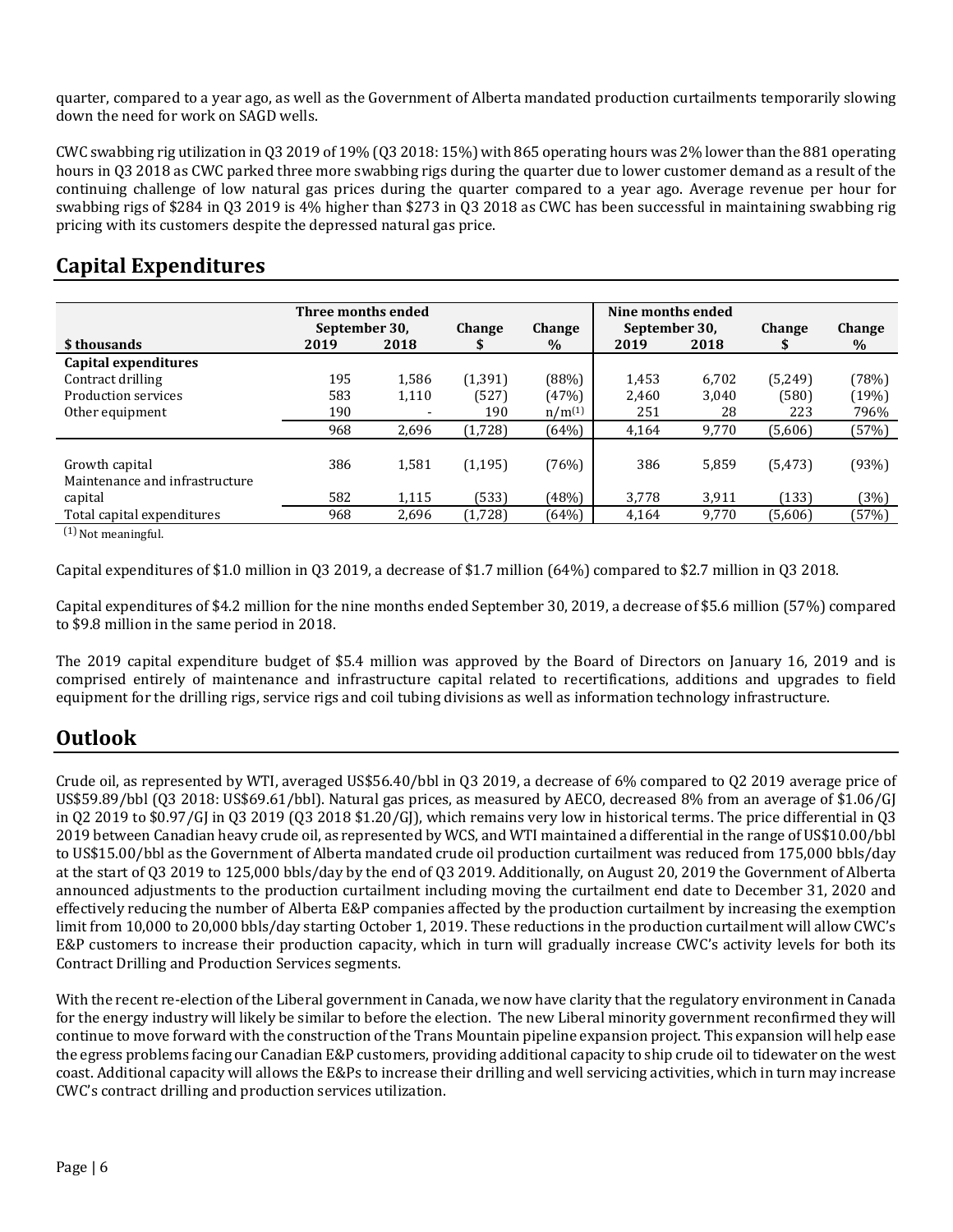quarter, compared to a year ago, as well as the Government of Alberta mandated production curtailments temporarily slowing down the need for work on SAGD wells.

CWC swabbing rig utilization in Q3 2019 of 19% (Q3 2018: 15%) with 865 operating hours was 2% lower than the 881 operating hours in Q3 2018 as CWC parked three more swabbing rigs during the quarter due to lower customer demand as a result of the continuing challenge of low natural gas prices during the quarter compared to a year ago. Average revenue per hour for swabbing rigs of \$284 in Q3 2019 is 4% higher than \$273 in Q3 2018 as CWC has been successful in maintaining swabbing rig pricing with its customers despite the depressed natural gas price.

## **Capital Expenditures**

|      |            | <b>Change</b>                                         | <b>Change</b>     |                |              | <b>Change</b>                                        | Change            |
|------|------------|-------------------------------------------------------|-------------------|----------------|--------------|------------------------------------------------------|-------------------|
| 2019 | 2018       |                                                       | $\%$              | 2019           | 2018         |                                                      | $\%$              |
|      |            |                                                       |                   |                |              |                                                      |                   |
| 195  | 1,586      | (1, 391)                                              | (88%)             | 1,453          | 6,702        | (5,249)                                              | (78%)             |
| 583  | 1,110      | (527)                                                 | (47%)             | 2,460          | 3,040        | (580)                                                | (19%)             |
| 190  |            | 190                                                   | $n/m^{(1)}$       | 251            | 28           | 223                                                  | 796%              |
| 968  | 2,696      | (1,728)                                               | (64%)             | 4,164          | 9,770        | (5,606)                                              | (57%)             |
|      |            |                                                       |                   |                |              |                                                      |                   |
|      |            |                                                       |                   |                |              |                                                      | (93%)             |
|      |            |                                                       |                   |                |              |                                                      |                   |
|      |            |                                                       |                   |                |              |                                                      | (3%)              |
| 968  | 2,696      | (1,728)                                               | (64%)             | 4,164          | 9,770        | (5,606)                                              | (57%)             |
|      | 386<br>582 | Three months ended<br>September 30,<br>1,581<br>1,115 | (1, 195)<br>(533) | (76%)<br>(48%) | 386<br>3,778 | Nine months ended<br>September 30,<br>5,859<br>3,911 | (5, 473)<br>(133) |

 $(1)$  Not meaningful.

Capital expenditures of \$1.0 million in Q3 2019, a decrease of \$1.7 million (64%) compared to \$2.7 million in Q3 2018.

Capital expenditures of \$4.2 million for the nine months ended September 30, 2019, a decrease of \$5.6 million (57%) compared to \$9.8 million in the same period in 2018.

The 2019 capital expenditure budget of \$5.4 million was approved by the Board of Directors on January 16, 2019 and is comprised entirely of maintenance and infrastructure capital related to recertifications, additions and upgrades to field equipment for the drilling rigs, service rigs and coil tubing divisions as well as information technology infrastructure.

# **Outlook**

Crude oil, as represented by WTI, averaged US\$56.40/bbl in Q3 2019, a decrease of 6% compared to Q2 2019 average price of US\$59.89/bbl (Q3 2018: US\$69.61/bbl). Natural gas prices, as measured by AECO, decreased 8% from an average of \$1.06/GJ in Q2 2019 to \$0.97/GJ in Q3 2019 (Q3 2018 \$1.20/GJ), which remains very low in historical terms. The price differential in Q3 2019 between Canadian heavy crude oil, as represented by WCS, and WTI maintained a differential in the range of US\$10.00/bbl to US\$15.00/bbl as the Government of Alberta mandated crude oil production curtailment was reduced from 175,000 bbls/day at the start of Q3 2019 to 125,000 bbls/day by the end of Q3 2019. Additionally, on August 20, 2019 the Government of Alberta announced adjustments to the production curtailment including moving the curtailment end date to December 31, 2020 and effectively reducing the number of Alberta E&P companies affected by the production curtailment by increasing the exemption limit from 10,000 to 20,000 bbls/day starting October 1, 2019. These reductions in the production curtailment will allow CWC's E&P customers to increase their production capacity, which in turn will gradually increase CWC's activity levels for both its Contract Drilling and Production Services segments.

With the recent re-election of the Liberal government in Canada, we now have clarity that the regulatory environment in Canada for the energy industry will likely be similar to before the election. The new Liberal minority government reconfirmed they will continue to move forward with the construction of the Trans Mountain pipeline expansion project. This expansion will help ease the egress problems facing our Canadian E&P customers, providing additional capacity to ship crude oil to tidewater on the west coast. Additional capacity will allows the E&Ps to increase their drilling and well servicing activities, which in turn may increase CWC's contract drilling and production services utilization.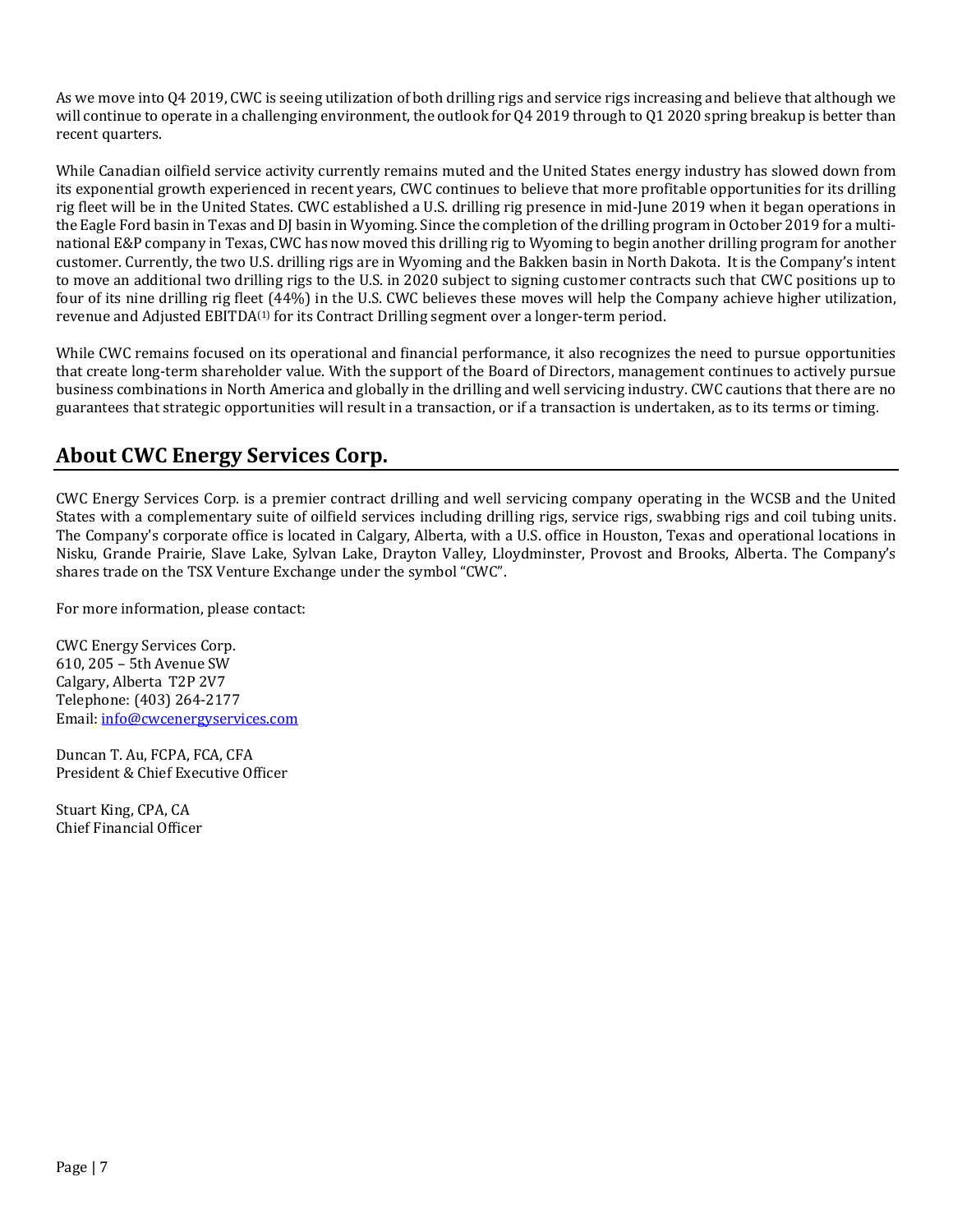As we move into Q4 2019, CWC is seeing utilization of both drilling rigs and service rigs increasing and believe that although we will continue to operate in a challenging environment, the outlook for Q4 2019 through to Q1 2020 spring breakup is better than recent quarters.

While Canadian oilfield service activity currently remains muted and the United States energy industry has slowed down from its exponential growth experienced in recent years, CWC continues to believe that more profitable opportunities for its drilling rig fleet will be in the United States. CWC established a U.S. drilling rig presence in mid-June 2019 when it began operations in the Eagle Ford basin in Texas and DJ basin in Wyoming. Since the completion of the drilling program in October 2019 for a multinational E&P company in Texas, CWC has now moved this drilling rig to Wyoming to begin another drilling program for another customer. Currently, the two U.S. drilling rigs are in Wyoming and the Bakken basin in North Dakota. It is the Company's intent to move an additional two drilling rigs to the U.S. in 2020 subject to signing customer contracts such that CWC positions up to four of its nine drilling rig fleet (44%) in the U.S. CWC believes these moves will help the Company achieve higher utilization, revenue and Adjusted EBITDA<sup>(1)</sup> for its Contract Drilling segment over a longer-term period.

While CWC remains focused on its operational and financial performance, it also recognizes the need to pursue opportunities that create long-term shareholder value. With the support of the Board of Directors, management continues to actively pursue business combinations in North America and globally in the drilling and well servicing industry. CWC cautions that there are no guarantees that strategic opportunities will result in a transaction, or if a transaction is undertaken, as to its terms or timing.

## **About CWC Energy Services Corp.**

CWC Energy Services Corp. is a premier contract drilling and well servicing company operating in the WCSB and the United States with a complementary suite of oilfield services including drilling rigs, service rigs, swabbing rigs and coil tubing units. The Company's corporate office is located in Calgary, Alberta, with a U.S. office in Houston, Texas and operational locations in Nisku, Grande Prairie, Slave Lake, Sylvan Lake, Drayton Valley, Lloydminster, Provost and Brooks, Alberta. The Company's shares trade on the TSX Venture Exchange under the symbol "CWC".

For more information, please contact:

CWC Energy Services Corp. 610, 205 – 5th Avenue SW Calgary, Alberta T2P 2V7 Telephone: (403) 264-2177 Email: info@cwcenergyservices.com

Duncan T. Au, FCPA, FCA, CFA President & Chief Executive Officer

Stuart King, CPA, CA Chief Financial Officer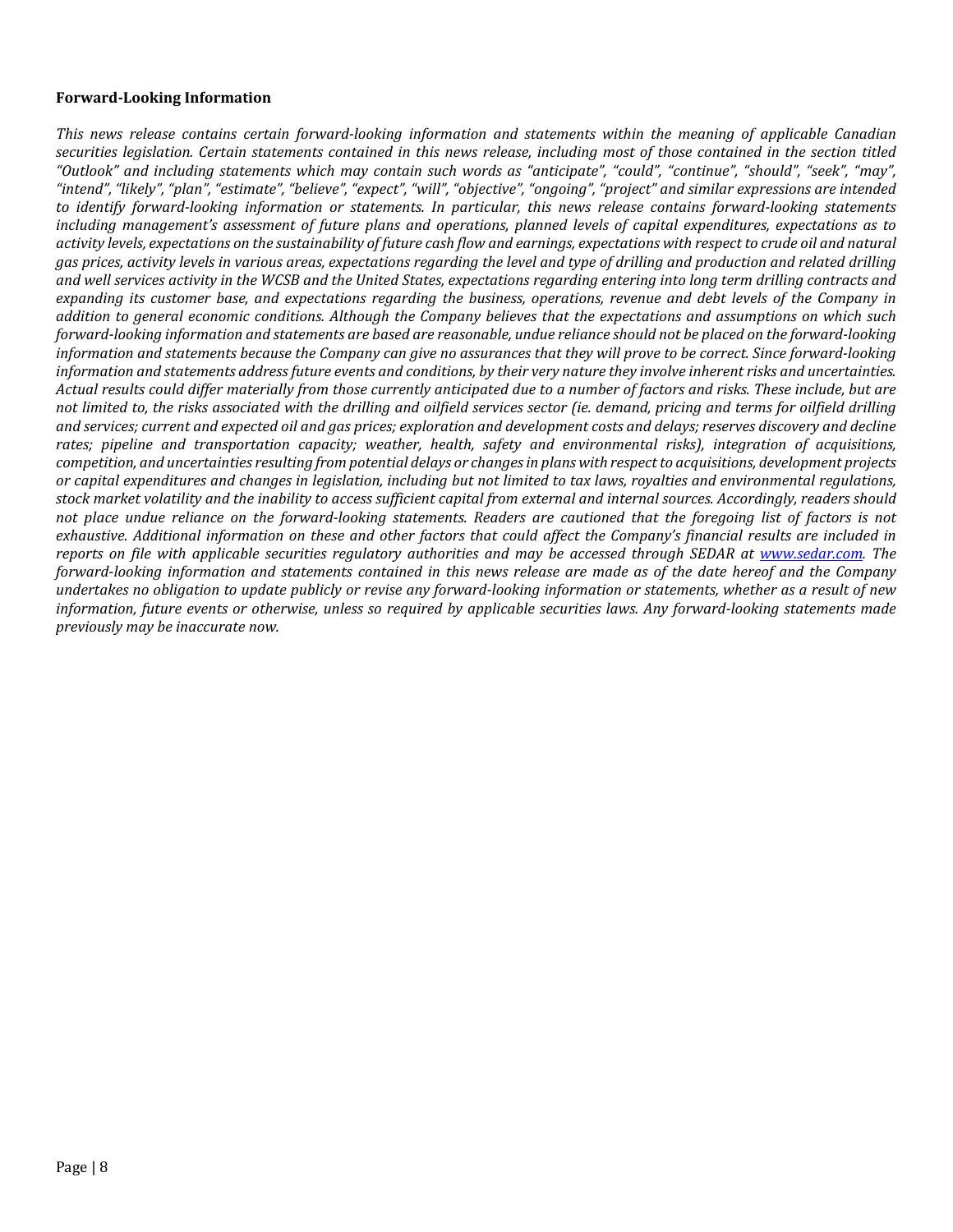#### **Forward‐Looking Information**

This news release contains certain forward-looking information and statements within the meaning of applicable Canadian securities legislation. Certain statements contained in this news release, including most of those contained in the section titled "Outlook" and including statements which may contain such words as "anticipate", "could", "continue", "should", "seek", "may", "intend", "likely", "plan", "estimate", "believe", "expect", "will", "objective", "ongoing", "project" and similar expressions are intended to identify forward-looking information or statements. In particular, this news release contains forward-looking statements including management's assessment of future plans and operations, planned levels of capital expenditures, expectations as to activity levels, expectations on the sustainability of future cash flow and earnings, expectations with respect to crude oil and natural gas prices, activity levels in various areas, expectations regarding the level and type of drilling and production and related drilling and well services activity in the WCSB and the United States, expectations regarding entering into long term drilling contracts and expanding its customer base, and expectations regarding the business, operations, revenue and debt levels of the Company in addition to general economic conditions. Although the Company believes that the expectations and assumptions on which such forward-looking information and statements are based are reasonable, undue reliance should not be placed on the forward-looking information and statements because the Company can give no assurances that they will prove to be correct. Since forward-looking information and statements address future events and conditions, by their very nature they involve inherent risks and uncertainties. Actual results could differ materially from those currently anticipated due to a number of factors and risks. These include, but are not limited to, the risks associated with the drilling and oilfield services sector (ie. demand, pricing and terms for oilfield drilling and services; current and expected oil and gas prices; exploration and development costs and delays; reserves discovery and decline *rates; pipeline and transportation capacity; weather, health, safety and environmental risks), integration of acquisitions,* competition, and uncertainties resulting from potential delays or changes in plans with respect to acquisitions, development projects or capital expenditures and changes in legislation, including but not limited to tax laws, royalties and environmental regulations, stock market volatility and the inability to access sufficient capital from external and internal sources. Accordingly, readers should not place undue reliance on the forward-looking statements. Readers are cautioned that the foregoing list of factors is not exhaustive. Additional information on these and other factors that could affect the Company's financial results are included in reports on file with applicable securities regulatory authorities and may be accessed through SEDAR at www.sedar.com. The forward-looking information and statements contained in this news release are made as of the date hereof and the Company undertakes no obligation to update publicly or revise any forward-looking information or statements, whether as a result of new information, future events or otherwise, unless so required by applicable securities laws. Any forward-looking statements made *previously may be inaccurate now.*